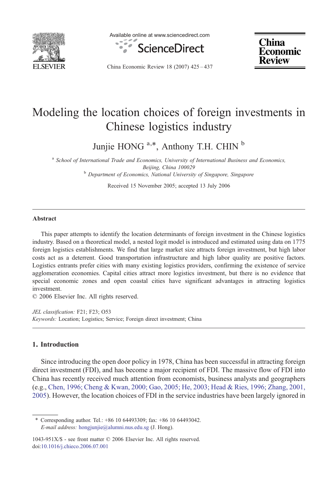

Available online at www.sciencedirect.com



**China Economic Review** 

China Economic Review 18 (2007) 425–437

## Modeling the location choices of foreign investments in Chinese logistics industry

Junjie HONG <sup>a,\*</sup>, Anthony T.H. CHIN <sup>b</sup>

<sup>a</sup> School of International Trade and Economics, University of International Business and Economics, Beijing, China 100029 <sup>b</sup> Department of Economics, National University of Singapore, Singapore

Received 15 November 2005; accepted 13 July 2006

## Abstract

This paper attempts to identify the location determinants of foreign investment in the Chinese logistics industry. Based on a theoretical model, a nested logit model is introduced and estimated using data on 1775 foreign logistics establishments. We find that large market size attracts foreign investment, but high labor costs act as a deterrent. Good transportation infrastructure and high labor quality are positive factors. Logistics entrants prefer cities with many existing logistics providers, confirming the existence of service agglomeration economies. Capital cities attract more logistics investment, but there is no evidence that special economic zones and open coastal cities have significant advantages in attracting logistics investment.

© 2006 Elsevier Inc. All rights reserved.

JEL classification: F21; F23; O53 Keywords: Location; Logistics; Service; Foreign direct investment; China

## 1. Introduction

Since introducing the open door policy in 1978, China has been successful in attracting foreign direct investment (FDI), and has become a major recipient of FDI. The massive flow of FDI into China has recently received much attention from economists, business analysts and geographers (e.g., [Chen, 1996; Cheng & Kwan, 2000; Gao, 2005; He, 2003; Head & Ries, 1996; Zhang, 2001,](#page--1-0) [2005](#page--1-0)). However, the location choices of FDI in the service industries have been largely ignored in

⁎ Corresponding author. Tel.: +86 10 64493309; fax: +86 10 64493042. E-mail address: [hongjunjie@alumni.nus.edu.sg](mailto:hongjunjie@alumni.nus.edu.sg) (J. Hong).

<sup>1043-951</sup>X/\$ - see front matter © 2006 Elsevier Inc. All rights reserved. doi:[10.1016/j.chieco.2006.07.001](http://dx.doi.org/10.1016/j.chieco.2006.07.001)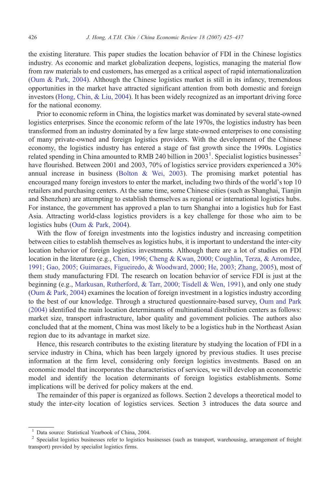the existing literature. This paper studies the location behavior of FDI in the Chinese logistics industry. As economic and market globalization deepens, logistics, managing the material flow from raw materials to end customers, has emerged as a critical aspect of rapid internationalization [\(Oum & Park, 2004](#page--1-0)). Although the Chinese logistics market is still in its infancy, tremendous opportunities in the market have attracted significant attention from both domestic and foreign investors ([Hong, Chin, & Liu, 2004\)](#page--1-0). It has been widely recognized as an important driving force for the national economy.

Prior to economic reform in China, the logistics market was dominated by several state-owned logistics enterprises. Since the economic reform of the late 1970s, the logistics industry has been transformed from an industry dominated by a few large state-owned enterprises to one consisting of many private-owned and foreign logistics providers. With the development of the Chinese economy, the logistics industry has entered a stage of fast growth since the 1990s. Logistics related spending in China amounted to RMB 240 billion in 2003<sup>1</sup>. Specialist logistics businesses<sup>2</sup> have flourished. Between 2001 and 2003, 70% of logistics service providers experienced a 30% annual increase in business [\(Bolton & Wei, 2003\)](#page--1-0). The promising market potential has encouraged many foreign investors to enter the market, including two thirds of the world's top 10 retailers and purchasing centers. At the same time, some Chinese cities (such as Shanghai, Tianjin and Shenzhen) are attempting to establish themselves as regional or international logistics hubs. For instance, the government has approved a plan to turn Shanghai into a logistics hub for East Asia. Attracting world-class logistics providers is a key challenge for those who aim to be logistics hubs ([Oum & Park, 2004\)](#page--1-0).

With the flow of foreign investments into the logistics industry and increasing competition between cities to establish themselves as logistics hubs, it is important to understand the inter-city location behavior of foreign logistics investments. Although there are a lot of studies on FDI location in the literature (e.g., [Chen, 1996; Cheng & Kwan, 2000; Coughlin, Terza, & Arromdee,](#page--1-0) [1991; Gao, 2005; Guimaraes, Figueiredo, & Woodward, 2000; He, 2003; Zhang, 2005\)](#page--1-0), most of them study manufacturing FDI. The research on location behavior of service FDI is just at the beginning (e.g., [Markusan, Rutherford, & Tarr, 2000; Tisdell & Wen, 1991](#page--1-0)), and only one study [\(Oum & Park, 2004\)](#page--1-0) examines the location of foreign investment in a logistics industry according to the best of our knowledge. Through a structured questionnaire-based survey, [Oum and Park](#page--1-0) [\(2004\)](#page--1-0) identified the main location determinants of multinational distribution centers as follows: market size, transport infrastructure, labor quality and government policies. The authors also concluded that at the moment, China was most likely to be a logistics hub in the Northeast Asian region due to its advantage in market size.

Hence, this research contributes to the existing literature by studying the location of FDI in a service industry in China, which has been largely ignored by previous studies. It uses precise information at the firm level, considering only foreign logistics investments. Based on an economic model that incorporates the characteristics of services, we will develop an econometric model and identify the location determinants of foreign logistics establishments. Some implications will be derived for policy makers at the end.

The remainder of this paper is organized as follows. Section 2 develops a theoretical model to study the inter-city location of logistics services. Section 3 introduces the data source and

<sup>&</sup>lt;sup>1</sup> Data source: Statistical Yearbook of China, 2004.<br><sup>2</sup> Specialist logistics businesses refer to logistics businesses (such as transport, warehousing, arrangement of freight transport) provided by specialist logistics firms.